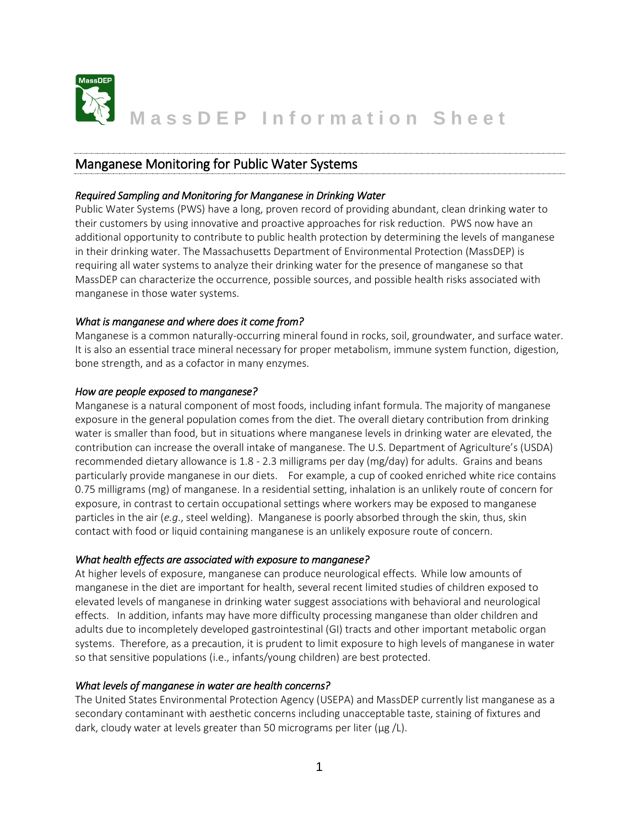

# Manganese Monitoring for Public Water Systems

### *Required Sampling and Monitoring for Manganese in Drinking Water*

Public Water Systems (PWS) have a long, proven record of providing abundant, clean drinking water to their customers by using innovative and proactive approaches for risk reduction. PWS now have an additional opportunity to contribute to public health protection by determining the levels of manganese in their drinking water. The Massachusetts Department of Environmental Protection (MassDEP) is requiring all water systems to analyze their drinking water for the presence of manganese so that MassDEP can characterize the occurrence, possible sources, and possible health risks associated with manganese in those water systems.

## *What is manganese and where does it come from?*

Manganese is a common naturally-occurring mineral found in rocks, soil, groundwater, and surface water. It is also an essential trace mineral necessary for proper metabolism, immune system function, digestion, bone strength, and as a cofactor in many enzymes.

#### *How are people exposed to manganese?*

Manganese is a natural component of most foods, including infant formula. The majority of manganese exposure in the general population comes from the diet. The overall dietary contribution from drinking water is smaller than food, but in situations where manganese levels in drinking water are elevated, the contribution can increase the overall intake of manganese. The U.S. Department of Agriculture's (USDA) recommended dietary allowance is 1.8 - 2.3 milligrams per day (mg/day) for adults. Grains and beans particularly provide manganese in our diets. For example, a cup of cooked enriched white rice contains 0.75 milligrams (mg) of manganese. In a residential setting, inhalation is an unlikely route of concern for exposure, in contrast to certain occupational settings where workers may be exposed to manganese particles in the air (*e.g*., steel welding). Manganese is poorly absorbed through the skin, thus, skin contact with food or liquid containing manganese is an unlikely exposure route of concern.

#### *What health effects are associated with exposure to manganese?*

At higher levels of exposure, manganese can produce neurological effects. While low amounts of manganese in the diet are important for health, several recent limited studies of children exposed to elevated levels of manganese in drinking water suggest associations with behavioral and neurological effects. In addition, infants may have more difficulty processing manganese than older children and adults due to incompletely developed gastrointestinal (GI) tracts and other important metabolic organ systems. Therefore, as a precaution, it is prudent to limit exposure to high levels of manganese in water so that sensitive populations (i.e., infants/young children) are best protected.

#### *What levels of manganese in water are health concerns?*

The United States Environmental Protection Agency (USEPA) and MassDEP currently list manganese as a secondary contaminant with aesthetic concerns including unacceptable taste, staining of fixtures and dark, cloudy water at levels greater than 50 micrograms per liter ( $\mu$ g /L).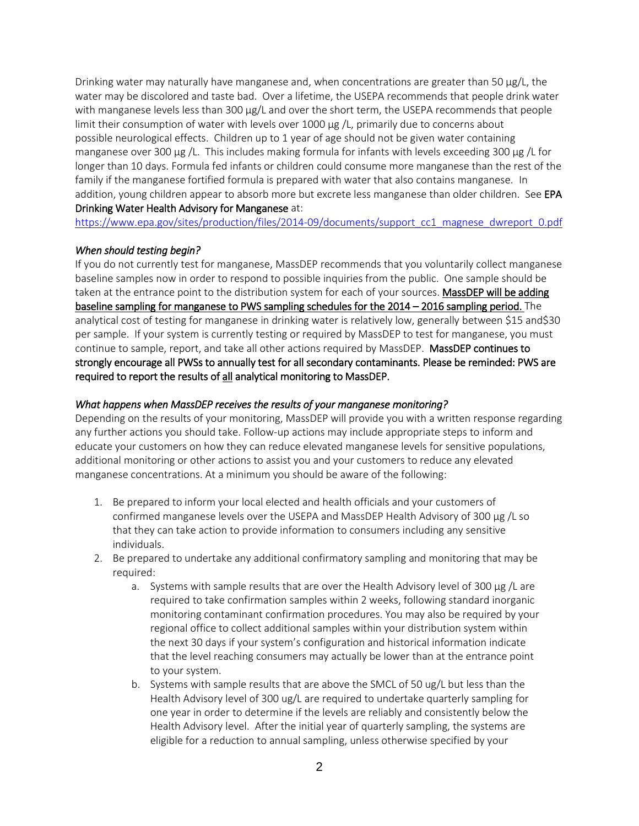Drinking water may naturally have manganese and, when concentrations are greater than 50  $\mu$ g/L, the water may be discolored and taste bad. Over a lifetime, the USEPA recommends that people drink water with manganese levels less than 300 µg/L and over the short term, the USEPA recommends that people limit their consumption of water with levels over  $1000 \mu g/L$ , primarily due to concerns about possible neurological effects. Children up to 1 year of age should not be given water containing manganese over 300  $\mu$ g /L. This includes making formula for infants with levels exceeding 300  $\mu$ g /L for longer than 10 days. Formula fed infants or children could consume more manganese than the rest of the family if the manganese fortified formula is prepared with water that also contains manganese. In addition, young children appear to absorb more but excrete less manganese than older children. See EPA Drinking Water Health Advisory for Manganese at:

[https://www.epa.gov/sites/production/files/2014-09/documents/support\\_cc1\\_magnese\\_dwreport\\_0.pdf](https://www.epa.gov/sites/production/files/2014-09/documents/support_cc1_magnese_dwreport_0.pdf)

#### *When should testing begin?*

If you do not currently test for manganese, MassDEP recommends that you voluntarily collect manganese baseline samples now in order to respond to possible inquiries from the public. One sample should be taken at the entrance point to the distribution system for each of your sources. MassDEP will be adding baseline sampling for manganese to PWS sampling schedules for the 2014 – 2016 sampling period. The analytical cost of testing for manganese in drinking water is relatively low, generally between \$15 and\$30 per sample. If your system is currently testing or required by MassDEP to test for manganese, you must continue to sample, report, and take all other actions required by MassDEP. MassDEP continues to strongly encourage all PWSs to annually test for all secondary contaminants. Please be reminded: PWS are required to report the results of all analytical monitoring to MassDEP.

#### *What happens when MassDEP receives the results of your manganese monitoring?*

Depending on the results of your monitoring, MassDEP will provide you with a written response regarding any further actions you should take. Follow-up actions may include appropriate steps to inform and educate your customers on how they can reduce elevated manganese levels for sensitive populations, additional monitoring or other actions to assist you and your customers to reduce any elevated manganese concentrations. At a minimum you should be aware of the following:

- 1. Be prepared to inform your local elected and health officials and your customers of confirmed manganese levels over the USEPA and MassDEP Health Advisory of 300 µg /L so that they can take action to provide information to consumers including any sensitive individuals.
- 2. Be prepared to undertake any additional confirmatory sampling and monitoring that may be required:
	- a. Systems with sample results that are over the Health Advisory level of 300 µg /L are required to take confirmation samples within 2 weeks, following standard inorganic monitoring contaminant confirmation procedures. You may also be required by your regional office to collect additional samples within your distribution system within the next 30 days if your system's configuration and historical information indicate that the level reaching consumers may actually be lower than at the entrance point to your system.
	- b. Systems with sample results that are above the SMCL of 50 ug/L but less than the Health Advisory level of 300 ug/L are required to undertake quarterly sampling for one year in order to determine if the levels are reliably and consistently below the Health Advisory level. After the initial year of quarterly sampling, the systems are eligible for a reduction to annual sampling, unless otherwise specified by your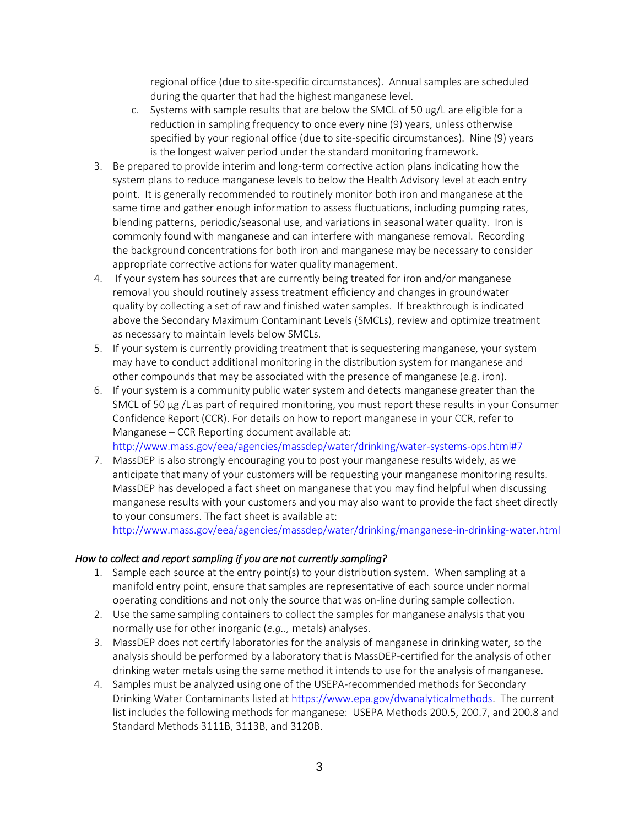regional office (due to site-specific circumstances). Annual samples are scheduled during the quarter that had the highest manganese level.

- c. Systems with sample results that are below the SMCL of 50 ug/L are eligible for a reduction in sampling frequency to once every nine (9) years, unless otherwise specified by your regional office (due to site-specific circumstances). Nine (9) years is the longest waiver period under the standard monitoring framework.
- 3. Be prepared to provide interim and long-term corrective action plans indicating how the system plans to reduce manganese levels to below the Health Advisory level at each entry point. It is generally recommended to routinely monitor both iron and manganese at the same time and gather enough information to assess fluctuations, including pumping rates, blending patterns, periodic/seasonal use, and variations in seasonal water quality. Iron is commonly found with manganese and can interfere with manganese removal. Recording the background concentrations for both iron and manganese may be necessary to consider appropriate corrective actions for water quality management.
- 4. If your system has sources that are currently being treated for iron and/or manganese removal you should routinely assess treatment efficiency and changes in groundwater quality by collecting a set of raw and finished water samples. If breakthrough is indicated above the Secondary Maximum Contaminant Levels (SMCLs), review and optimize treatment as necessary to maintain levels below SMCLs.
- 5. If your system is currently providing treatment that is sequestering manganese, your system may have to conduct additional monitoring in the distribution system for manganese and other compounds that may be associated with the presence of manganese (e.g. iron).
- 6. If your system is a community public water system and detects manganese greater than the SMCL of 50 µg /L as part of required monitoring, you must report these results in your Consumer Confidence Report (CCR). For details on how to report manganese in your CCR, refer to Manganese – CCR Reporting document available at:

<http://www.mass.gov/eea/agencies/massdep/water/drinking/water-systems-ops.html#7>

7. MassDEP is also strongly encouraging you to post your manganese results widely, as we anticipate that many of your customers will be requesting your manganese monitoring results. MassDEP has developed a fact sheet on manganese that you may find helpful when discussing manganese results with your customers and you may also want to provide the fact sheet directly to your consumers. The fact sheet is available at:

<http://www.mass.gov/eea/agencies/massdep/water/drinking/manganese-in-drinking-water.html>

#### *How to collect and report sampling if you are not currently sampling?*

- 1. Sample each source at the entry point(s) to your distribution system. When sampling at a manifold entry point, ensure that samples are representative of each source under normal operating conditions and not only the source that was on-line during sample collection.
- 2. Use the same sampling containers to collect the samples for manganese analysis that you normally use for other inorganic (*e.g..,* metals) analyses.
- 3. MassDEP does not certify laboratories for the analysis of manganese in drinking water, so the analysis should be performed by a laboratory that is MassDEP-certified for the analysis of other drinking water metals using the same method it intends to use for the analysis of manganese.
- 4. Samples must be analyzed using one of the USEPA-recommended methods for Secondary Drinking Water Contaminants listed at [https://www.epa.gov/dwanalyticalmethods.](https://www.epa.gov/dwanalyticalmethods) The current list includes the following methods for manganese: USEPA Methods 200.5, 200.7, and 200.8 and Standard Methods 3111B, 3113B, and 3120B.